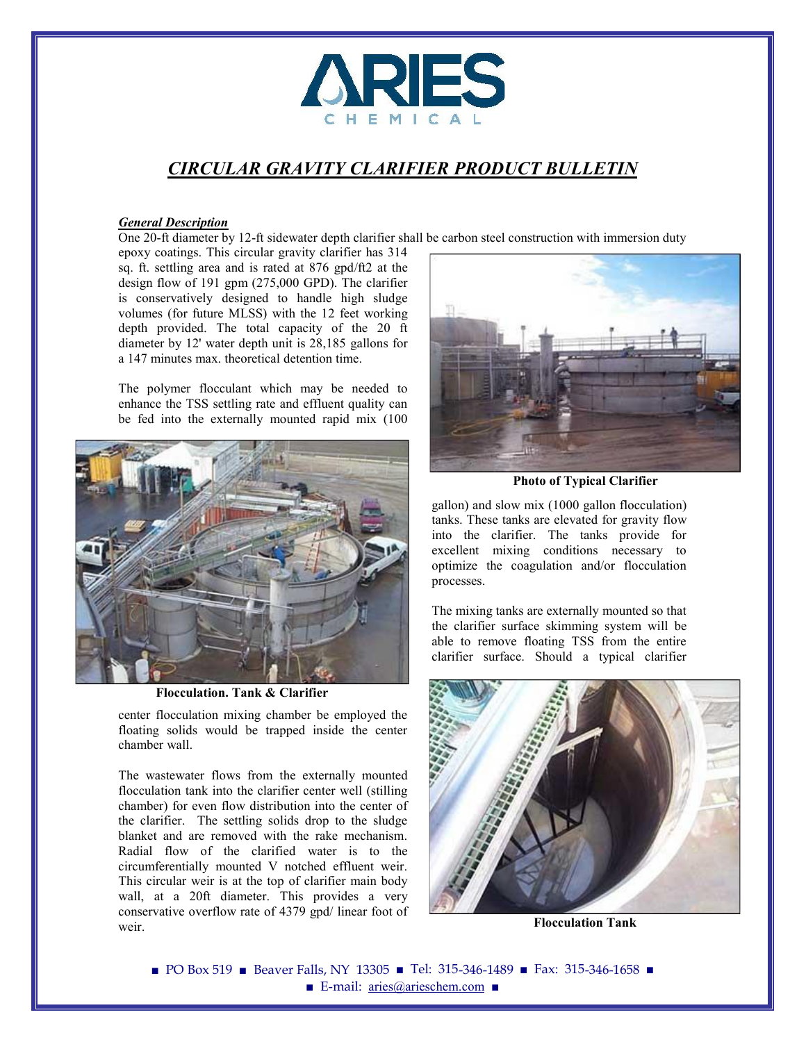

# *CIRCULAR GRAVITY CLARIFIER PRODUCT BULLETIN*

#### *General Description*

One 20-ft diameter by 12-ft sidewater depth clarifier shall be carbon steel construction with immersion duty

epoxy coatings. This circular gravity clarifier has 314 sq. ft. settling area and is rated at 876 gpd/ft2 at the design flow of 191 gpm (275,000 GPD). The clarifier is conservatively designed to handle high sludge volumes (for future MLSS) with the 12 feet working depth provided. The total capacity of the 20 ft diameter by 12' water depth unit is 28,185 gallons for a 147 minutes max. theoretical detention time.

The polymer flocculant which may be needed to enhance the TSS settling rate and effluent quality can be fed into the externally mounted rapid mix (100



**Flocculation. Tank & Clarifier**

center flocculation mixing chamber be employed the floating solids would be trapped inside the center chamber wall.

The wastewater flows from the externally mounted flocculation tank into the clarifier center well (stilling chamber) for even flow distribution into the center of the clarifier. The settling solids drop to the sludge blanket and are removed with the rake mechanism. Radial flow of the clarified water is to the circumferentially mounted V notched effluent weir. This circular weir is at the top of clarifier main body wall, at a 20ft diameter. This provides a very conservative overflow rate of 4379 gpd/ linear foot of weir.



**Photo of Typical Clarifier**

gallon) and slow mix (1000 gallon flocculation) tanks. These tanks are elevated for gravity flow into the clarifier. The tanks provide for excellent mixing conditions necessary to optimize the coagulation and/or flocculation processes.

The mixing tanks are externally mounted so that the clarifier surface skimming system will be able to remove floating TSS from the entire clarifier surface. Should a typical clarifier



**Flocculation Tank**

■ PO Box 519 ■ Beaver Falls, NY 13305 ■ Tel: 315-346-1489 ■ Fax: 315-346-1658 ■ ■ E-mail: aries@arieschem.com ■